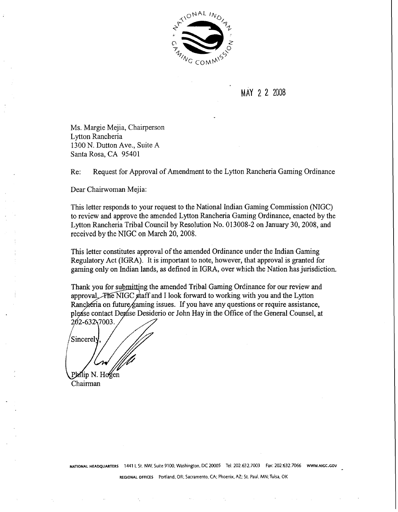

# MAY 2 2 2008

Ms. Margie Mejia, Chairperson Lytton Rancheria 1300 N. Dutton Ave., Suite A Santa Rosa, CA 95401

Re: Request for Approval of Amendment to the Lytton Rancheria Gaming Ordinance

Dear Chairwoman Mejia:

This letter responds to your request to the National Indian Gaming Commission (NIGC) to review and approve the amended Lytton Rancheria Gaming Ordinance, enacted by the Lytton Rancheria Tribal Council by Resolution No. 013008-2 on January 30,2008, and received by the NIGC on March 20, 2008.

This letter constitutes approval of the amended Ordinance under the Indian Gaming Regulatory Act (IGRA). It is important to note, however, that approval is granted for gaming only on Indian lands, as defined in IGRA, over which the Nation has jurisdiction.

Thank you for submitting the amended Tribal Gaming Ordinance for our review and approval. The NIGC staff and I look forward to working with you and the Lytton Rancheria on future faming issues. If you have any questions or require assistance, please contact Depise Desiderio or John Hay in the Office of the General Counsel, at 202-632 7003.

Sincerely Philip N. Hogen

Chairman

**NATIONAL HEADQUARTERS 1441 L St. NW, Suite 9100, Washington, DC 20005 Tel:** 202.632.7003 **Fax:** 202,632,7066 **www.~~cc.cov** 

**REGIONAL OFFICES Portland, OR; Sacramento, CA; Phoenix, AZ;** St. **Paul, MN;Tulsa,** OK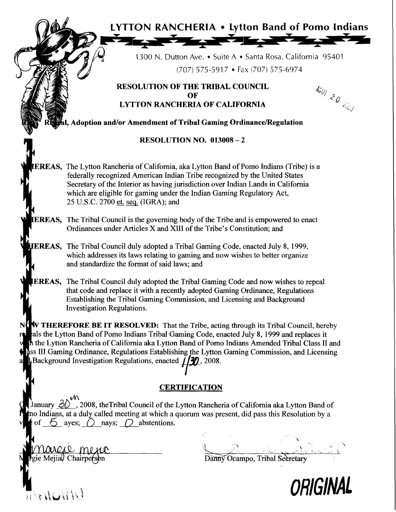| فيها<br><b>Karpent</b><br>1300 N. Dutton Ave. • Suite A • Santa Rosa, California 95401<br>$(707)$ 575-5917 • Fax (707) 575-6974<br><b>RESOLUTION OF THE TRIBAL COUNCIL</b><br>NAR 20 EES<br>OF<br><b>LYTTON RANCHERIA OF CALIFORNIA</b><br>Sal, Adoption and/or Amendment of Tribal Gaming Ordinance/Regulation<br><b>RESOLUTION NO. <math>013008 - 2</math></b><br><b>IEREAS</b> , The Lytton Rancheria of California, aka Lytton Band of Pomo Indians (Tribe) is a<br>federally recognized American Indian Tribe recognized by the United States<br>Secretary of the Interior as having jurisdiction over Indian Lands in California<br>which are eligible for gaming under the Indian Gaming Regulatory Act,<br>25 U.S.C. 2700 et. seq. (IGRA); and<br><b>IEREAS,</b> The Tribal Council is the governing body of the Tribe and is empowered to enact<br>Ordinances under Articles X and XIII of the Tribe's Constitution; and<br><b>HEREAS,</b> The Tribal Council duly adopted a Tribal Gaming Code, enacted July 8, 1999,<br>which addresses its laws relating to gaming and now wishes to better organize<br>and standardize the format of said laws; and<br><b>EREAS,</b> The Tribal Council duly adopted the Tribal Gaming Code and now wishes to repeal<br>that code and replace it with a recently adopted Gaming Ordinance, Regulations<br>Establishing the Tribal Gaming Commission, and Licensing and Background<br><b>Investigation Regulations.</b><br>NOW THEREFORE BE IT RESOLVED: That the Tribe, acting through its Tribal Council, hereby<br>als the Lytton Band of Pomo Indians Tribal Gaming Code, enacted July 8, 1999 and replaces it<br>rei<br>In the Lytton Rancheria of California aka Lytton Band of Pomo Indians Amended Tribal Class II and<br>Ass III Gaming Ordinance, Regulations Establishing the Lytton Gaming Commission, and Licensing<br><b>Background Investigation Regulations, enacted <math>\iiint</math>, 2008.</b><br>a |                                                       |
|----------------------------------------------------------------------------------------------------------------------------------------------------------------------------------------------------------------------------------------------------------------------------------------------------------------------------------------------------------------------------------------------------------------------------------------------------------------------------------------------------------------------------------------------------------------------------------------------------------------------------------------------------------------------------------------------------------------------------------------------------------------------------------------------------------------------------------------------------------------------------------------------------------------------------------------------------------------------------------------------------------------------------------------------------------------------------------------------------------------------------------------------------------------------------------------------------------------------------------------------------------------------------------------------------------------------------------------------------------------------------------------------------------------------------------------------------------------------------------------------------------------------------------------------------------------------------------------------------------------------------------------------------------------------------------------------------------------------------------------------------------------------------------------------------------------------------------------------------------------------------------------------------------------------------------------------------------------------|-------------------------------------------------------|
|                                                                                                                                                                                                                                                                                                                                                                                                                                                                                                                                                                                                                                                                                                                                                                                                                                                                                                                                                                                                                                                                                                                                                                                                                                                                                                                                                                                                                                                                                                                                                                                                                                                                                                                                                                                                                                                                                                                                                                      |                                                       |
|                                                                                                                                                                                                                                                                                                                                                                                                                                                                                                                                                                                                                                                                                                                                                                                                                                                                                                                                                                                                                                                                                                                                                                                                                                                                                                                                                                                                                                                                                                                                                                                                                                                                                                                                                                                                                                                                                                                                                                      |                                                       |
|                                                                                                                                                                                                                                                                                                                                                                                                                                                                                                                                                                                                                                                                                                                                                                                                                                                                                                                                                                                                                                                                                                                                                                                                                                                                                                                                                                                                                                                                                                                                                                                                                                                                                                                                                                                                                                                                                                                                                                      |                                                       |
|                                                                                                                                                                                                                                                                                                                                                                                                                                                                                                                                                                                                                                                                                                                                                                                                                                                                                                                                                                                                                                                                                                                                                                                                                                                                                                                                                                                                                                                                                                                                                                                                                                                                                                                                                                                                                                                                                                                                                                      |                                                       |
|                                                                                                                                                                                                                                                                                                                                                                                                                                                                                                                                                                                                                                                                                                                                                                                                                                                                                                                                                                                                                                                                                                                                                                                                                                                                                                                                                                                                                                                                                                                                                                                                                                                                                                                                                                                                                                                                                                                                                                      |                                                       |
|                                                                                                                                                                                                                                                                                                                                                                                                                                                                                                                                                                                                                                                                                                                                                                                                                                                                                                                                                                                                                                                                                                                                                                                                                                                                                                                                                                                                                                                                                                                                                                                                                                                                                                                                                                                                                                                                                                                                                                      | <b>LYTTON RANCHERIA • Lytton Band of Pomo Indians</b> |
|                                                                                                                                                                                                                                                                                                                                                                                                                                                                                                                                                                                                                                                                                                                                                                                                                                                                                                                                                                                                                                                                                                                                                                                                                                                                                                                                                                                                                                                                                                                                                                                                                                                                                                                                                                                                                                                                                                                                                                      |                                                       |
|                                                                                                                                                                                                                                                                                                                                                                                                                                                                                                                                                                                                                                                                                                                                                                                                                                                                                                                                                                                                                                                                                                                                                                                                                                                                                                                                                                                                                                                                                                                                                                                                                                                                                                                                                                                                                                                                                                                                                                      |                                                       |
|                                                                                                                                                                                                                                                                                                                                                                                                                                                                                                                                                                                                                                                                                                                                                                                                                                                                                                                                                                                                                                                                                                                                                                                                                                                                                                                                                                                                                                                                                                                                                                                                                                                                                                                                                                                                                                                                                                                                                                      |                                                       |
|                                                                                                                                                                                                                                                                                                                                                                                                                                                                                                                                                                                                                                                                                                                                                                                                                                                                                                                                                                                                                                                                                                                                                                                                                                                                                                                                                                                                                                                                                                                                                                                                                                                                                                                                                                                                                                                                                                                                                                      |                                                       |
|                                                                                                                                                                                                                                                                                                                                                                                                                                                                                                                                                                                                                                                                                                                                                                                                                                                                                                                                                                                                                                                                                                                                                                                                                                                                                                                                                                                                                                                                                                                                                                                                                                                                                                                                                                                                                                                                                                                                                                      |                                                       |
|                                                                                                                                                                                                                                                                                                                                                                                                                                                                                                                                                                                                                                                                                                                                                                                                                                                                                                                                                                                                                                                                                                                                                                                                                                                                                                                                                                                                                                                                                                                                                                                                                                                                                                                                                                                                                                                                                                                                                                      |                                                       |
|                                                                                                                                                                                                                                                                                                                                                                                                                                                                                                                                                                                                                                                                                                                                                                                                                                                                                                                                                                                                                                                                                                                                                                                                                                                                                                                                                                                                                                                                                                                                                                                                                                                                                                                                                                                                                                                                                                                                                                      |                                                       |
|                                                                                                                                                                                                                                                                                                                                                                                                                                                                                                                                                                                                                                                                                                                                                                                                                                                                                                                                                                                                                                                                                                                                                                                                                                                                                                                                                                                                                                                                                                                                                                                                                                                                                                                                                                                                                                                                                                                                                                      |                                                       |
|                                                                                                                                                                                                                                                                                                                                                                                                                                                                                                                                                                                                                                                                                                                                                                                                                                                                                                                                                                                                                                                                                                                                                                                                                                                                                                                                                                                                                                                                                                                                                                                                                                                                                                                                                                                                                                                                                                                                                                      |                                                       |
|                                                                                                                                                                                                                                                                                                                                                                                                                                                                                                                                                                                                                                                                                                                                                                                                                                                                                                                                                                                                                                                                                                                                                                                                                                                                                                                                                                                                                                                                                                                                                                                                                                                                                                                                                                                                                                                                                                                                                                      |                                                       |
|                                                                                                                                                                                                                                                                                                                                                                                                                                                                                                                                                                                                                                                                                                                                                                                                                                                                                                                                                                                                                                                                                                                                                                                                                                                                                                                                                                                                                                                                                                                                                                                                                                                                                                                                                                                                                                                                                                                                                                      |                                                       |
|                                                                                                                                                                                                                                                                                                                                                                                                                                                                                                                                                                                                                                                                                                                                                                                                                                                                                                                                                                                                                                                                                                                                                                                                                                                                                                                                                                                                                                                                                                                                                                                                                                                                                                                                                                                                                                                                                                                                                                      | <b>CERTIFICATION</b>                                  |

anuary  $\mathscr{D}'$ , 2008, theTribal Council of the Lytton Rancheria of California aka Lytton Band of o Indians, at a duly called meeting at which a quorum was present, did pass this Resolution by a of  $\bigcirc$  ayes;  $\bigcirc$  nays;  $\bigcirc$  abstentions. ncheria of California aka Lytton Band of<br>as present, did pass this Resolution by a<br>Danny Ocampo, Tribal Secretary

| MMMLLO MULLO |  |
|--------------|--|

 $\frac{1}{2}$   $\frac{1}{2}$   $\frac{1}{2}$   $\frac{1}{2}$   $\frac{1}{2}$ 

Danny Ocampo, Tribal Secretary **<sup>4</sup>'** 

 $\mathbf{v}$ 

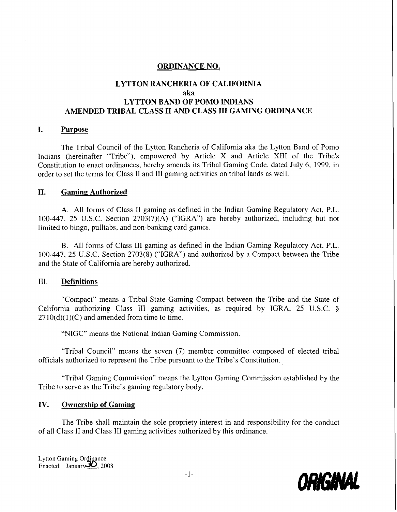#### **ORDINANCE NO.**

#### **LYTTON RANCHERIA OF CALIFORNIA aka LYTTON BAND OF POMO INDIANS AMENDED TRIBAL CLASS I1 AND CLASS I11 GAMING ORDINANCE**

#### **I. Purpose**

The Tribal Council of the Lytton Rancheria of California aka the Lytton Band of Pomo Indians (hereinafter "Tribe"), empowered by Article X and Article XI11 of the Tribe's Constitution to enact ordinances, hereby amends its Tribal Gaming Code, dated July 6, 1999, in order to set the terms for Class I1 and 111 gaming activities on tribal lands as well.

#### **11. Gaming Authorized**

A. All forms of Class **I1** gaming as defined in the Indian Gaming Regulatory Act, P.L. 100-447, 25 U.S.C. Section  $2703(7)(A)$  ("IGRA") are hereby authorized, including but not limited to bingo, pulltabs, and non-banking card games.

B. All forms of Class 111 gaming as defined in the Indian Gaming Regulatory Act, P.L. 100-447, 25 U.S.C. Section 2703(8) ("IGRA") and authorized by a Compact between the Tribe and the State of California are hereby authorized.

#### 111. **Definitions**

"Compact" means a Tribal-State Gaming Compact between the Tribe and the State of California authorizing Class III gaming activities, as required by IGRA, 25 U.S.C. §  $2710(d)(1)(C)$  and amended from time to time.

"NIGC" means the National Indian Gaming Commission.

"Tribal Council" means the seven (7) member committee composed of elected tribal officials authorized to represent the Tribe pursuant to the Tribe's Constitution.

"Tribal Gaming Commission" means the Lytton Gaming Commission established by the Tribe to serve as the Tribe's gaming regulatory body.

#### **IV. Ownership of Gaming**

The Tribe shall maintain the sole propriety interest in and responsibility for the conduct of all Class **I1** and Class 111 gaming activities authorized by this ordinance.

Lytton Gaming Ordinance<br>Enacted: January 20, 2008

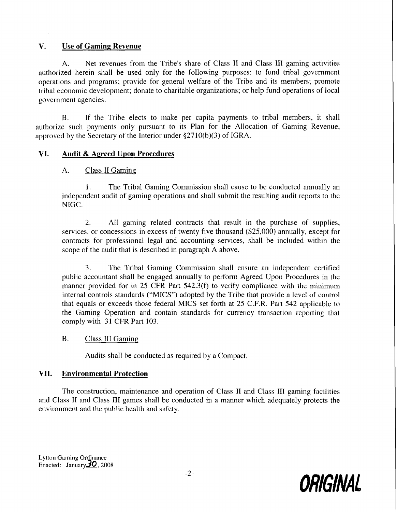# **V. Use of Gaming Revenue**

**A.** Net revenues from the Tribe's share of Class I1 and Class I11 gaming activities authorized herein shall be used only for the following purposes: to fund tribal government operations and programs; provide for general welfare of the Tribe and its members; promote tribal economic development; donate to charitable organizations; or help fund operations of local government agencies.

B. If the Tribe elects to make per capita payments to tribal members, it shall authorize such payments only pursuant to its Plan for the Allocation of Gaming Revenue, approved by the Secretary of the Interior under \$2710(b)(3) of IGRA.

## **VI. Audit** & **Agreed Upon Procedures**

A. Class I1 Gaming

1. The Tribal Gaming Commission shall cause to be conducted annually an independent audit of gaming operations and shall submit the resulting audit reports to the NIGC.

2. All gaming related contracts that result in the purchase of supplies, services, or concessions in excess of twenty five thousand (\$25,000) annually, except for contracts for professional legal and accounting services, shall be included within the scope of the audit that is described in paragraph **A** above.

3. The Tribal Gaming Commission shall ensure an independent certified public accountant shall be engaged annually to perform Agreed Upon Procedures in the manner provided for in 25 CFR Part 542.3(f) to verify compliance with the minimum internal controls standards ("MICS") adopted by the Tribe that provide a level of control that equals or exceeds those federal MICS set forth at 25 C.F.R. Part 542 applicable to the Gaming Operation and contain standards for currency transaction reporting that comply with 31 CFR Part 103.

## B. Class III Gaming

Audits shall be conducted as required by a Compact.

## **VII. Environmental Protection**

The construction, maintenance and operation of Class II and Class III gaming facilities and Class II and Class III games shall be conducted in a manner which adequately protects the environment and the public health and safety.

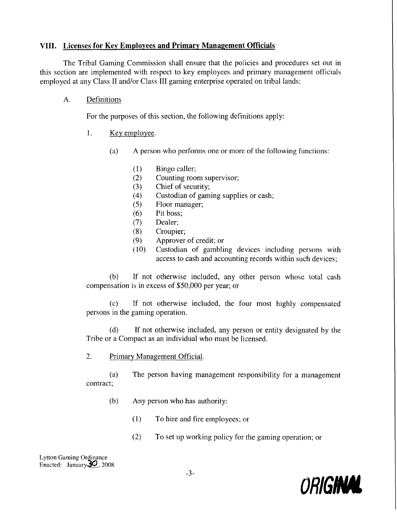# **VIII. Licenses for Key Employees and Primary Management Officials**

The Tribal Gaming Commission shall ensure that the policies and procedures set out in this section are implemented with respect to key employees and primary management officials employed at any Class II and/or Class III gaming enterprise operated on tribal lands:

## A. Definitions

For the purposes of this section, the following definitions apply:

- I. Key employee.
	- (a) A person who performs one or more of the following functions:
		- $(1)$ Bingo caller;
		- Counting room supervisor;  $(2)$
		- Chief of security;  $(3)$
		- Custodian of gaming supplies or cash;  $(4)$
		- $(5)$ Floor manager;
		- Pit boss;  $(6)$
		- $(7)$ Dealer;
		- $(8)$ Croupier;
		- Approver of credit; or  $(9)$
		- $(10)$ Custodian of gambling devices including persons with access to cash and accounting records within such devices;

(b) If not otherwise included, any other person whose total cash compensation is in excess of \$50,000 per year; or

(c) If not otherwise included, the four most highly compensated persons in the gaming operation.

(d) If not otherwise included, any person or entity designated by the Tribe or a Compact as an individual who must be licensed.

2. Primary Management Official.

(a) The person having management responsibility for a management contract;

- (b) Any person who has authority:
	- $(1)$  To hire and fire employees; or
	- (2) To set up working policy for the gaming operation; or

Lytton Gaming Ordinance Enacted:  $January30, 2008$ 

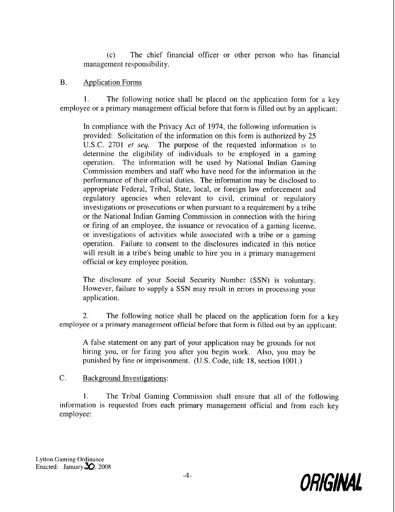(c) The chief financial officer or other person who has financial management responsibility.

#### B. Application Form

1. The following notice shall be placed on the application form for a key employee or a primary management official before that form is filled out by an applicant:

In compliance with the Privacy Act of 1974, the following information is provided: Solicitation of the information on this form is authorized by 25 U.S.C. 2701 *et* seq. The purpose of the requested information is to determine the eligibility of individuals to be employed in a gaming operation. The information will be used by National Indian Gaming Commission members and staff who have need for the information in the performance of their official duties. The information may be disclosed to appropriate Federal, Tribal, State, local, or foreign law enforcement and regulatory agencies when relevant to civil, criminal or regulatory investigations or prosecutions or when pursuant to a requirement by a tribe or the National Indian Gaming Commission in connection with the hiring or firing of an employee, the issuance or revocation of a gaming license, or investigations of activities while associated with a tribe or a gaming operation. Failure to consent to the disclosures indicated in this notice will result in a tribe's being unable to hire you in a primary management official or key employee position.

The disclosure of your Social Security Number (SSN) is voluntary. However, failure to supply a SSN may result in errors in processing your application.

2. The following notice shall be placed on the application form for a key employee or a primary management official before that form is filled out by an applicant:

A false statement on any part of your application rnay be grounds for not hiring you, or for firing you after you begin work. Also, you may be punished by fine or imprisonment. (U.S. Code, title 18, section 1001.)

## C. Background Investigations:

1. The Tribal Gaming Commission shall ensure that all of the following information is requested from each primary management official and from each key employee:

Lytton Gaming Ordinance Enacted: January  $\mathbf{\Sigma}$ , 2008

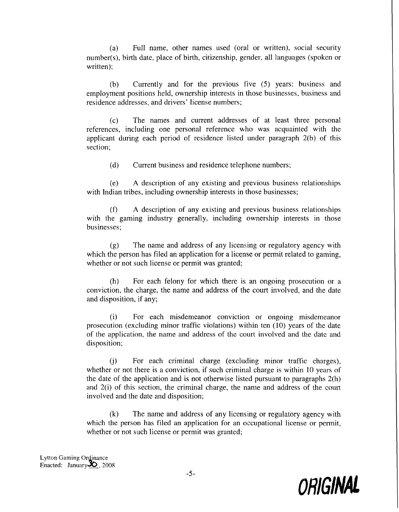(a) Full name, other names used (oral or written), social security number(s), birth date, place of birth, citizenship, gender, all languages (spoken or written);

(b) Currently and for the previous five (5) years: business and employment positions held, ownership interests in those businesses, business and residence addresses, and drivers' license numbers;

(c) The names and current addresses of at least three personal references, including one personal reference who was acquainted with the applicant during each period of residence listed under paragraph 2(b) of this section;

(d) Current business and residence telephone numbers;

(e) A description of any existing and previous business relationships with Indian tribes, including ownership interests in those businesses;

(f) A description of any existing and previous business relationships with the gaming industry generally, including ownership interests in those businesses;

(g) 'The name and address of any licensing or regulatory agency with which the person has filed an application for a license or permit related to gaming, whether or not such license or permit was granted;

(h) For each felony for which there is an ongoing prosecution or a conviction, the charge, the name and address of the court involved, and the date and disposition, if any;

(i) For each misdemeanor conviction or ongoing misdemeanor prosecution (excluding minor traffic violations) within ten (10) years of the date of the application, the name and address of the court involved and the date and disposition;

 $(i)$  For each criminal charge (excluding minor traffic charges), whether or not there is a conviction, if such criminal charge is within 10 years of the date of the application and is not otherwise listed pursuant to paragraphs 2(h) and 2(i) of this section, the criminal charge, the name and address of the court involved and the date and disposition;

(k) The name and address of any licensing or regulatory agency with which the person has filed an application for an occupational license or permit, whether or not such license or permit was granted;

Lytton Gaming Ordinance<br>Enacted: January 20, 2008

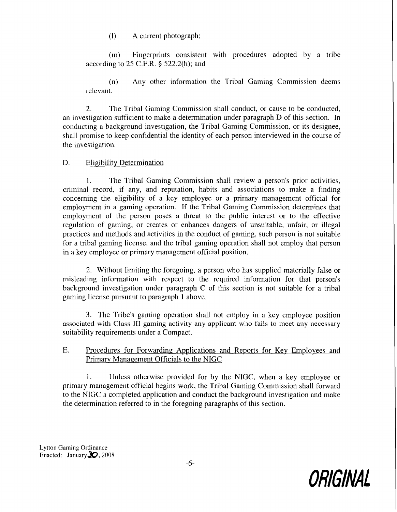(1) A current photograph;

(m) Fingerprints consistent with procedures adopted by a tribe according to 25 C.F.R. **3** 522.2(h); and

(n) .Any other information the Tribal Gaming Commission deems relevant.

2. The Tribal Gaming Commission shall conduct, or cause to be conducted, an investigation sufficient to make a determination under paragraph  $D$  of this section. In conducting a background investigation, the Tribal Gaming Commission, or its designee, shall promise to keep confidential the identity of each person interviewed in the course of the investigation.

## D. Eligibility Determination

1. The Tribal Gaming Commission shall review a person's prior activities, criminal record, if any, and reputation, habits and associations to make a finding concerning the eligibility of a key employee or a prirnary management official for employment in a gaming operation. If the Tribal Gaming Commission determines that employment of the person poses a threat to the public interest or to the effective regulation of gaming, or creates or enhances dangers of unsuitable, unfair, or illegal practices and methods and activities in the conduct of gaming, such person is not suitable for a tribal gaming license, and the tribal gaming operation shall not employ that person in a key employee or primary management official position.

2. Without limiting the foregoing, a person who has supplied materially false or misleading information with respect to the required information for that person's background investigation under paragraph  $C$  of this section is not suitable for a tribal gaming license pursuant to paragraph 1 above.

3. The Tribe's gaming operation shall not employ in a key employee position associated with Class **111** gaming activity any applicant wlio fails to meet any necessary suitability requirements under a Compact.

## E. Procedures for Forwarding Applications and Reports for Key Employees and Primary Management Officials to the NIGC

1. Unless otherwise provided for by the NIGC, when a key employee or primary management official begins work, the Tribal Gaming Commission shall forward to the NIGC a completed application and conduct the background investigation and make the determination referred to in the foregoing paragraphs of this section.

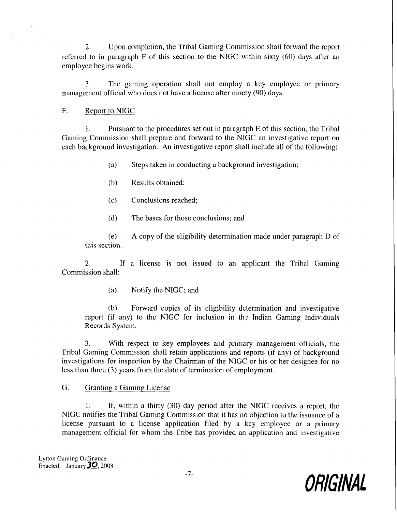2. Upon completion, the Tribal Gaming Comrnission shall forward the report referred to in paragraph F of this section to the NIGC within sixty (60) days after an employee begins work..

3. The gaming operation shall not employ a key employee or primary management official who does not have a license after ninety (90) days.

#### F. Report to NIGC

**1.** Pursuant to the procedures set out in paragraph E of this section, the Tribal Gaming Commission shall prepare and forward to the NlGC an investigative report on each background investigation. An investigative report shall include all of the following:

(a) Steps taken in conducting a background investigation;

- (b) Results obtained;
- (c) Conclusions reached;
- (d) The bases for those conclusions; and

(e) A copy of the eligibility determination made under paragraph D of this section.

2. If a license is not issued to an applicant the Tribal Gaming Commission shall:

(a) Notify the NIGC; and

(b) Forward copies of its eligibility determination and investigative report (if any) to the NIGC for inclusion in the Indian Gaming Individuals Records System.

3. With respect to key employees and primary management officials, the Tribal Gaming Commission shall retain applications and reports (if any) of background investigations for inspection by the Chairman of the NIGC or his or her designee for no less than three (3) years from the date of termination of employment.

## G. Granting a Gaming License

1. If, within a thirty (30) day period after the NIGC receives a report, the NIGC notifies the Tribal Gaming Commission that it has no objection to the issuance of a license pursuant to a license application filed by a key employee or a primary management official for whom the Tribe has provided an application and investigative

Lytton Gaming Ordinance Enacted: January  $30$ , 2008

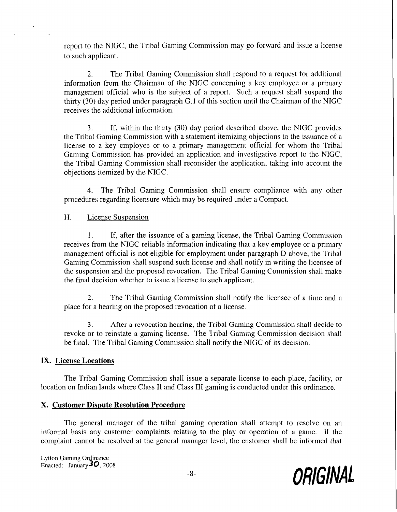report to the NIGC, the Tribal Gaming Commission may go forward and issue a license to such applicant.

2. The Tribal Gaming Commission shall respond to a request for additional information from the Chairman of the NIGC concerning a key employee or a primary management official who is the subject of a report. Such a request shall suspend the thirty  $(30)$  day period under paragraph G.1 of this section until the Chairman of the NIGC receives the additional information.

3. If, within the thirty (30) day period described above, the NIGC provides the Tribal Gaming Commission with a statement itemizing objections to the issuance of a license to a key employee or to a primary management official for whom the Tribal Gaming Commission has provided an application and investigative report to the NIGC, the Tribal Gaming Commission shall reconsider the application, taking into account the objections itemized by the NIGC.

4. The Tribal Gaming Commission shall ensure compliance with any other procedures regarding licensure which may be required under a Compact.

#### H. License Suspension

1. If, after the issuance of a gaming license, the Tribal Gaming Commission receives from the NIGC reliable information indicating that a key employee or a primary management official is not eligible for employment under paragraph D above, the Tribal Gaming Commission shall suspend such license and shall notify in writing the licensee of the suspension and the proposed revocation. The Tribal Gaming Commission shall make the final decision whether to issue a license to such applicant.

2. The Tribal Gaming Commission shall notify the licensee of a time and a place for a hearing on the proposed revocation of a license.

**3.** After a revocation hearing, the Tribal Gaming Commission shall decide to revoke or to reinstate a gaming license. The Tribal Gaming Commission decision shall be final. The Tribal Gaming Commission shall notify the NIGC of its decision.

## **IX. License Locations**

The Tribal Gaming Commission shall issue a separate license to each place, facility, or location on Indian lands where Class I1 and Class I11 gaming is conducted under this ordinance.

## **X. Customer Dispute Resolution Procedure**

The general manager of the tribal gaming operation shall attempt to resolve on an informal basis any customer complaints relating to the play or operation of a game. If the complaint cannot be resolved at the general manager level, the customer shall be informed that

Lytton Gaming Ordinance<br>Enacted: January 20, 2008